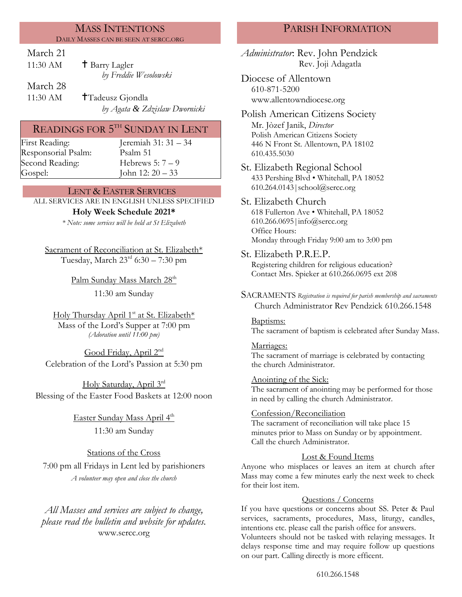#### MASS INTENTIONS DAILY MASSES CAN BE SEEN AT SERCC.ORG

## March 21

| 11:30 AM | <sup>†</sup> Barry Lagler |
|----------|---------------------------|
|          | by Freddie Wesolowski     |
| March 28 |                           |

11:30 AM  $\tau$ Tadeusz Gjondla *by Agata & Zdzislaw Dwornicki*

# READINGS FOR  $5^{\text{\tiny{TH}}}$  SUNDAY IN LENT

Responsorial Psalm: [Psalm](http://www.usccb.org/bible/readings/bible/psalms/25:4) 51 Second Reading: Hebrews 5: 7 – 9

First Reading: Jeremiah 31: 31 – 34 Gospel: John 12: 20 – 33

## LENT & EASTER SERVICES

ALL SERVICES ARE IN ENGLISH UNLESS SPECIFIED

### **Holy Week Schedule 2021\***

*\* Note: some services will be held at St Elizabeth*

Sacrament of Reconciliation at St. Elizabeth\* Tuesday, March 23rd 6:30 – 7:30 pm

Palm Sunday Mass March 28<sup>th</sup>

11:30 am Sunday

Holy Thursday April 1<sup>st</sup> at St. Elizabeth\* Mass of the Lord's Supper at 7:00 pm *(Adoration until 11:00 pm)*

Good Friday, April 2<sup>nd</sup> Celebration of the Lord's Passion at 5:30 pm

Holy Saturday, April 3rd Blessing of the Easter Food Baskets at 12:00 noon

> <u>Easter Sunday Mass April 4<sup>th</sup></u> 11:30 am Sunday

Stations of the Cross 7:00 pm all Fridays in Lent led by parishioners *A volunteer may open and close the church*

*All Masses and services are subject to change, please read the bulletin and website for updates.* www.sercc.org

## PARISH INFORMATION

*Administrator*: Rev. John Pendzick Rev. Joji Adagatla

Diocese of Allentown 610-871-5200 www.allentowndiocese.org

Polish American Citizens Society Mr. Jòzef Janik, *Director* Polish American Citizens Society 446 N Front St. Allentown, PA 18102 610.435.5030

St. Elizabeth Regional School 433 Pershing Blvd • Whitehall, PA 18052 610.264.0143|school@sercc.org

St. Elizabeth Church 618 Fullerton Ave • Whitehall, PA 18052 610.266.0695|info@sercc.org Office Hours: Monday through Friday 9:00 am to 3:00 pm

St. Elizabeth P.R.E.P.

Registering children for religious education? Contact Mrs. Spieker at 610.266.0695 ext 208

SACRAMENTS *Registration is required for parish membership and sacraments* Church Administrator Rev Pendzick 610.266.1548

Baptisms:

The sacrament of baptism is celebrated after Sunday Mass.

Marriages: The sacrament of marriage is celebrated by contacting the church Administrator.

Anointing of the Sick: The sacrament of anointing may be performed for those in need by calling the church Administrator.

### Confession/Reconciliation

The sacrament of reconciliation will take place 15 minutes prior to Mass on Sunday or by appointment. Call the church Administrator.

## Lost & Found Items

Anyone who misplaces or leaves an item at church after Mass may come a few minutes early the next week to check for their lost item.

#### Questions / Concerns

If you have questions or concerns about SS. Peter & Paul services, sacraments, procedures, Mass, liturgy, candles, intentions etc. please call the parish office for answers.

Volunteers should not be tasked with relaying messages. It delays response time and may require follow up questions on our part. Calling directly is more efficent.